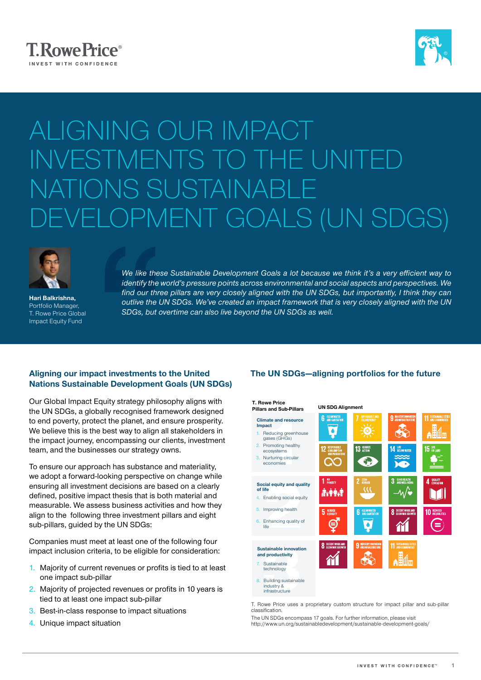



# ALIGNING OUR IMPACT INVESTMENTS TO THE UNITE ONS SUSTAINA ELOPMENT GOALS (UN SDGS)



Hari Balkrishna, Portfolio Manager, T. Rowe Price Global Impact Equity Fund

We like these<br>
identify the w<br>
find our three<br>
outlive the U.<br>
SDGs, but ou<br>
act investments to *We like these Sustainable Development Goals a lot because we think it's a very efficient way to identify the world's pressure points across environmental and social aspects and perspectives. We*  find our three pillars are very closely aligned with the UN SDGs, but importantly, I think they can *outlive the UN SDGs. We've created an impact framework that is very closely aligned with the UN SDGs, but overtime can also live beyond the UN SDGs as well.*

## Aligning our impact investments to the United Nations Sustainable Development Goals (UN SDGs)

Our Global Impact Equity strategy philosophy aligns with the UN SDGs, a globally recognised framework designed to end poverty, protect the planet, and ensure prosperity. We believe this is the best way to align all stakeholders in the impact journey, encompassing our clients, investment team, and the businesses our strategy owns.

To ensure our approach has substance and materiality, we adopt a forward-looking perspective on change while ensuring all investment decisions are based on a clearly defined, positive impact thesis that is both material and measurable. We assess business activities and how they align to the following three investment pillars and eight sub-pillars, guided by the UN SDGs:

Companies must meet at least one of the following four impact inclusion criteria, to be eligible for consideration:

- 1. Majority of current revenues or profits is tied to at least one impact sub-pillar
- 2. Majority of projected revenues or profits in 10 years is tied to at least one impact sub-pillar
- 3. Best-in-class response to impact situations
- 4. Unique impact situation

# The UN SDGs—aligning portfolios for the future



T. Rowe Price uses a proprietary custom structure for impact pillar and sub-pillar classification.

The UN SDGs encompass 17 goals. For further information, please visit http://www.un.org/sustainabledevelopment/sustainable-development-goals/